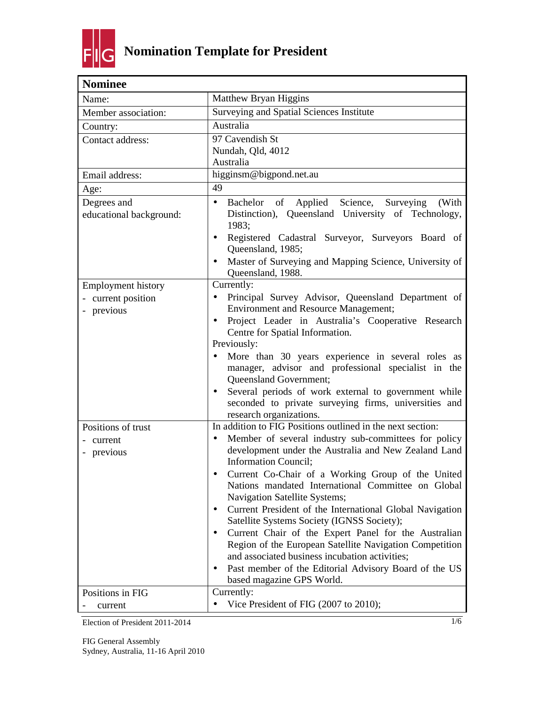

| <b>Nominee</b>                                                                              |                                                                                                                                                                                                                                                                                                                                                                                                                                                                                                                                                                                                                                                                                                                                                                                |
|---------------------------------------------------------------------------------------------|--------------------------------------------------------------------------------------------------------------------------------------------------------------------------------------------------------------------------------------------------------------------------------------------------------------------------------------------------------------------------------------------------------------------------------------------------------------------------------------------------------------------------------------------------------------------------------------------------------------------------------------------------------------------------------------------------------------------------------------------------------------------------------|
| Name:                                                                                       | Matthew Bryan Higgins                                                                                                                                                                                                                                                                                                                                                                                                                                                                                                                                                                                                                                                                                                                                                          |
| Member association:                                                                         | Surveying and Spatial Sciences Institute                                                                                                                                                                                                                                                                                                                                                                                                                                                                                                                                                                                                                                                                                                                                       |
| Country:                                                                                    | Australia                                                                                                                                                                                                                                                                                                                                                                                                                                                                                                                                                                                                                                                                                                                                                                      |
| Contact address:                                                                            | 97 Cavendish St<br>Nundah, Qld, 4012<br>Australia                                                                                                                                                                                                                                                                                                                                                                                                                                                                                                                                                                                                                                                                                                                              |
| Email address:                                                                              | higginsm@bigpond.net.au                                                                                                                                                                                                                                                                                                                                                                                                                                                                                                                                                                                                                                                                                                                                                        |
| Age:                                                                                        | 49                                                                                                                                                                                                                                                                                                                                                                                                                                                                                                                                                                                                                                                                                                                                                                             |
| Degrees and<br>educational background:                                                      | Bachelor of Applied Science, Surveying<br>$\bullet$<br>(With<br>Distinction), Queensland University of Technology,<br>1983;                                                                                                                                                                                                                                                                                                                                                                                                                                                                                                                                                                                                                                                    |
|                                                                                             | Registered Cadastral Surveyor, Surveyors Board of<br>$\bullet$<br>Queensland, 1985;<br>Master of Surveying and Mapping Science, University of<br>$\bullet$<br>Queensland, 1988.                                                                                                                                                                                                                                                                                                                                                                                                                                                                                                                                                                                                |
| <b>Employment history</b><br>- current position<br>previous<br>$\qquad \qquad \blacksquare$ | Currently:<br>Principal Survey Advisor, Queensland Department of<br>$\bullet$<br><b>Environment and Resource Management;</b><br>Project Leader in Australia's Cooperative Research<br>$\bullet$<br>Centre for Spatial Information.<br>Previously:                                                                                                                                                                                                                                                                                                                                                                                                                                                                                                                              |
|                                                                                             | More than 30 years experience in several roles as<br>manager, advisor and professional specialist in the<br>Queensland Government;<br>Several periods of work external to government while<br>$\bullet$<br>seconded to private surveying firms, universities and<br>research organizations.                                                                                                                                                                                                                                                                                                                                                                                                                                                                                    |
| Positions of trust<br>current<br>- previous                                                 | In addition to FIG Positions outlined in the next section:<br>Member of several industry sub-committees for policy<br>$\bullet$<br>development under the Australia and New Zealand Land<br><b>Information Council;</b><br>Current Co-Chair of a Working Group of the United<br>Nations mandated International Committee on Global<br>Navigation Satellite Systems;<br>Current President of the International Global Navigation<br>$\bullet$<br>Satellite Systems Society (IGNSS Society);<br>Current Chair of the Expert Panel for the Australian<br>$\bullet$<br>Region of the European Satellite Navigation Competition<br>and associated business incubation activities;<br>Past member of the Editorial Advisory Board of the US<br>$\bullet$<br>based magazine GPS World. |
| Positions in FIG<br>current                                                                 | Currently:<br>Vice President of FIG (2007 to 2010);<br>$\bullet$                                                                                                                                                                                                                                                                                                                                                                                                                                                                                                                                                                                                                                                                                                               |
|                                                                                             |                                                                                                                                                                                                                                                                                                                                                                                                                                                                                                                                                                                                                                                                                                                                                                                |

Election of President 2011-2014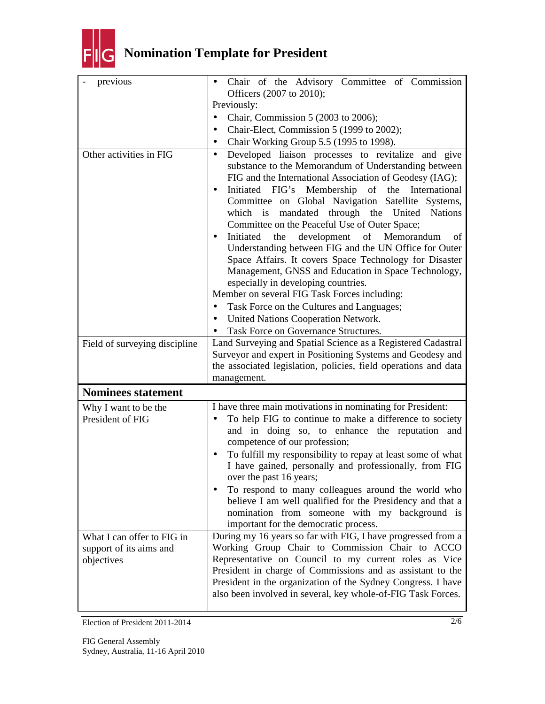

## **Nomination Template for President**

| previous                              | Chair of the Advisory Committee of Commission<br>$\bullet$<br>Officers (2007 to 2010);                                                                                                                                                                                                                                                                                                                                                                                                                                                                                                                                                                                                                                                                                                          |
|---------------------------------------|-------------------------------------------------------------------------------------------------------------------------------------------------------------------------------------------------------------------------------------------------------------------------------------------------------------------------------------------------------------------------------------------------------------------------------------------------------------------------------------------------------------------------------------------------------------------------------------------------------------------------------------------------------------------------------------------------------------------------------------------------------------------------------------------------|
|                                       | Previously:                                                                                                                                                                                                                                                                                                                                                                                                                                                                                                                                                                                                                                                                                                                                                                                     |
|                                       | Chair, Commission 5 (2003 to 2006);<br>$\bullet$                                                                                                                                                                                                                                                                                                                                                                                                                                                                                                                                                                                                                                                                                                                                                |
|                                       |                                                                                                                                                                                                                                                                                                                                                                                                                                                                                                                                                                                                                                                                                                                                                                                                 |
|                                       | Chair-Elect, Commission 5 (1999 to 2002);<br>$\bullet$                                                                                                                                                                                                                                                                                                                                                                                                                                                                                                                                                                                                                                                                                                                                          |
|                                       | Chair Working Group 5.5 (1995 to 1998).<br>$\bullet$                                                                                                                                                                                                                                                                                                                                                                                                                                                                                                                                                                                                                                                                                                                                            |
| Other activities in FIG               | Developed liaison processes to revitalize and give<br>$\bullet$<br>substance to the Memorandum of Understanding between<br>FIG and the International Association of Geodesy (IAG);<br>Initiated FIG's Membership of the International<br>٠<br>Committee on Global Navigation Satellite Systems,<br>which is mandated through the United Nations<br>Committee on the Peaceful Use of Outer Space;<br>the development<br>Initiated<br>of Memorandum<br>of<br>$\bullet$<br>Understanding between FIG and the UN Office for Outer<br>Space Affairs. It covers Space Technology for Disaster<br>Management, GNSS and Education in Space Technology,<br>especially in developing countries.<br>Member on several FIG Task Forces including:<br>Task Force on the Cultures and Languages;<br>$\bullet$ |
|                                       |                                                                                                                                                                                                                                                                                                                                                                                                                                                                                                                                                                                                                                                                                                                                                                                                 |
|                                       | United Nations Cooperation Network.<br>$\bullet$                                                                                                                                                                                                                                                                                                                                                                                                                                                                                                                                                                                                                                                                                                                                                |
|                                       | Task Force on Governance Structures.                                                                                                                                                                                                                                                                                                                                                                                                                                                                                                                                                                                                                                                                                                                                                            |
| Field of surveying discipline         | Land Surveying and Spatial Science as a Registered Cadastral<br>Surveyor and expert in Positioning Systems and Geodesy and<br>the associated legislation, policies, field operations and data<br>management.                                                                                                                                                                                                                                                                                                                                                                                                                                                                                                                                                                                    |
| <b>Nominees statement</b>             |                                                                                                                                                                                                                                                                                                                                                                                                                                                                                                                                                                                                                                                                                                                                                                                                 |
|                                       |                                                                                                                                                                                                                                                                                                                                                                                                                                                                                                                                                                                                                                                                                                                                                                                                 |
| Why I want to be the                  | I have three main motivations in nominating for President:                                                                                                                                                                                                                                                                                                                                                                                                                                                                                                                                                                                                                                                                                                                                      |
| President of FIG                      | To help FIG to continue to make a difference to society<br>$\bullet$<br>and in doing so, to enhance the reputation and<br>competence of our profession;<br>To fulfill my responsibility to repay at least some of what<br>$\bullet$<br>I have gained, personally and professionally, from FIG<br>over the past 16 years;<br>To respond to many colleagues around the world who<br>believe I am well qualified for the Presidency and that a<br>nomination from someone with my background is<br>important for the democratic process.                                                                                                                                                                                                                                                           |
| What I can offer to FIG in            | During my 16 years so far with FIG, I have progressed from a                                                                                                                                                                                                                                                                                                                                                                                                                                                                                                                                                                                                                                                                                                                                    |
| support of its aims and<br>objectives | Working Group Chair to Commission Chair to ACCO<br>Representative on Council to my current roles as Vice<br>President in charge of Commissions and as assistant to the<br>President in the organization of the Sydney Congress. I have<br>also been involved in several, key whole-of-FIG Task Forces.                                                                                                                                                                                                                                                                                                                                                                                                                                                                                          |

Election of President 2011-2014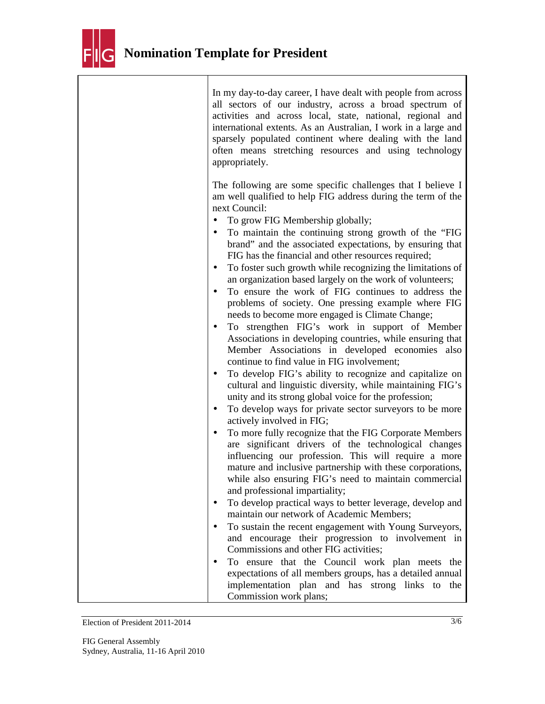

| In my day-to-day career, I have dealt with people from across<br>all sectors of our industry, across a broad spectrum of<br>activities and across local, state, national, regional and<br>international extents. As an Australian, I work in a large and<br>sparsely populated continent where dealing with the land<br>often means stretching resources and using technology<br>appropriately.                                                                                                                                                                                                                                                                                                                                                                                                                                                                                                                                                                                                                                                                                                                                                                                                                                                                                                                                                                                                                                                                                                                                                                                                                                                                                                                                                                                                                                                                                                                                        |
|----------------------------------------------------------------------------------------------------------------------------------------------------------------------------------------------------------------------------------------------------------------------------------------------------------------------------------------------------------------------------------------------------------------------------------------------------------------------------------------------------------------------------------------------------------------------------------------------------------------------------------------------------------------------------------------------------------------------------------------------------------------------------------------------------------------------------------------------------------------------------------------------------------------------------------------------------------------------------------------------------------------------------------------------------------------------------------------------------------------------------------------------------------------------------------------------------------------------------------------------------------------------------------------------------------------------------------------------------------------------------------------------------------------------------------------------------------------------------------------------------------------------------------------------------------------------------------------------------------------------------------------------------------------------------------------------------------------------------------------------------------------------------------------------------------------------------------------------------------------------------------------------------------------------------------------|
| The following are some specific challenges that I believe I<br>am well qualified to help FIG address during the term of the<br>next Council:<br>To grow FIG Membership globally;<br>٠<br>To maintain the continuing strong growth of the "FIG<br>$\bullet$<br>brand" and the associated expectations, by ensuring that<br>FIG has the financial and other resources required;<br>To foster such growth while recognizing the limitations of<br>٠<br>an organization based largely on the work of volunteers;<br>To ensure the work of FIG continues to address the<br>$\bullet$<br>problems of society. One pressing example where FIG<br>needs to become more engaged is Climate Change;<br>To strengthen FIG's work in support of Member<br>٠<br>Associations in developing countries, while ensuring that<br>Member Associations in developed economies also<br>continue to find value in FIG involvement;<br>To develop FIG's ability to recognize and capitalize on<br>٠<br>cultural and linguistic diversity, while maintaining FIG's<br>unity and its strong global voice for the profession;<br>To develop ways for private sector surveyors to be more<br>٠<br>actively involved in FIG;<br>To more fully recognize that the FIG Corporate Members<br>are significant drivers of the technological changes<br>influencing our profession. This will require a more<br>mature and inclusive partnership with these corporations,<br>while also ensuring FIG's need to maintain commercial<br>and professional impartiality;<br>To develop practical ways to better leverage, develop and<br>maintain our network of Academic Members;<br>To sustain the recent engagement with Young Surveyors,<br>٠<br>and encourage their progression to involvement in<br>Commissions and other FIG activities;<br>To ensure that the Council work plan meets the<br>$\bullet$<br>expectations of all members groups, has a detailed annual |
| implementation plan and has strong links to<br>the<br>Commission work plans;                                                                                                                                                                                                                                                                                                                                                                                                                                                                                                                                                                                                                                                                                                                                                                                                                                                                                                                                                                                                                                                                                                                                                                                                                                                                                                                                                                                                                                                                                                                                                                                                                                                                                                                                                                                                                                                           |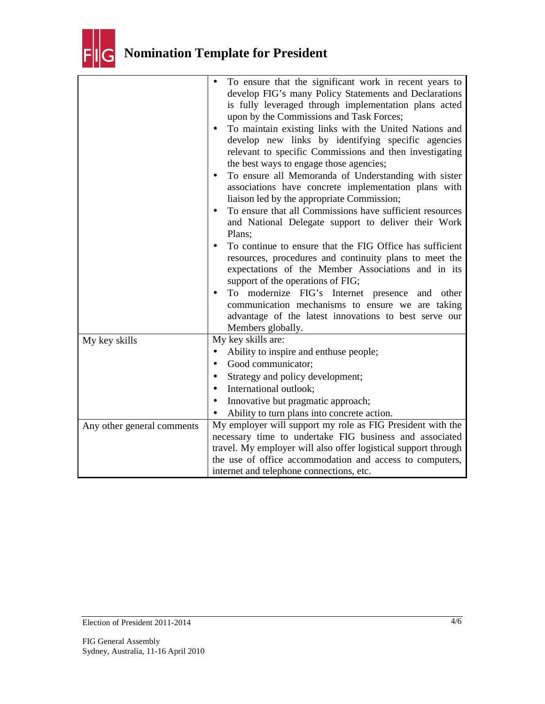

|                            | To ensure that the significant work in recent years to                                                          |
|----------------------------|-----------------------------------------------------------------------------------------------------------------|
|                            | develop FIG's many Policy Statements and Declarations                                                           |
|                            | is fully leveraged through implementation plans acted                                                           |
|                            | upon by the Commissions and Task Forces;                                                                        |
|                            | To maintain existing links with the United Nations and<br>$\bullet$                                             |
|                            | develop new links by identifying specific agencies                                                              |
|                            | relevant to specific Commissions and then investigating                                                         |
|                            | the best ways to engage those agencies;                                                                         |
|                            | To ensure all Memoranda of Understanding with sister<br>٠                                                       |
|                            | associations have concrete implementation plans with                                                            |
|                            | liaison led by the appropriate Commission;                                                                      |
|                            | To ensure that all Commissions have sufficient resources<br>and National Delegate support to deliver their Work |
|                            | Plans;                                                                                                          |
|                            | To continue to ensure that the FIG Office has sufficient<br>$\bullet$                                           |
|                            | resources, procedures and continuity plans to meet the                                                          |
|                            | expectations of the Member Associations and in its                                                              |
|                            | support of the operations of FIG;                                                                               |
|                            | modernize FIG's Internet presence and<br>To<br>other                                                            |
|                            | communication mechanisms to ensure we are taking                                                                |
|                            | advantage of the latest innovations to best serve our                                                           |
|                            | Members globally.                                                                                               |
| My key skills              | My key skills are:                                                                                              |
|                            | Ability to inspire and enthuse people;<br>$\bullet$                                                             |
|                            | Good communicator;<br>$\bullet$                                                                                 |
|                            | Strategy and policy development;                                                                                |
|                            | International outlook;                                                                                          |
|                            | Innovative but pragmatic approach;                                                                              |
|                            | Ability to turn plans into concrete action.                                                                     |
| Any other general comments | My employer will support my role as FIG President with the                                                      |
|                            | necessary time to undertake FIG business and associated                                                         |
|                            | travel. My employer will also offer logistical support through                                                  |
|                            | the use of office accommodation and access to computers,                                                        |
|                            | internet and telephone connections, etc.                                                                        |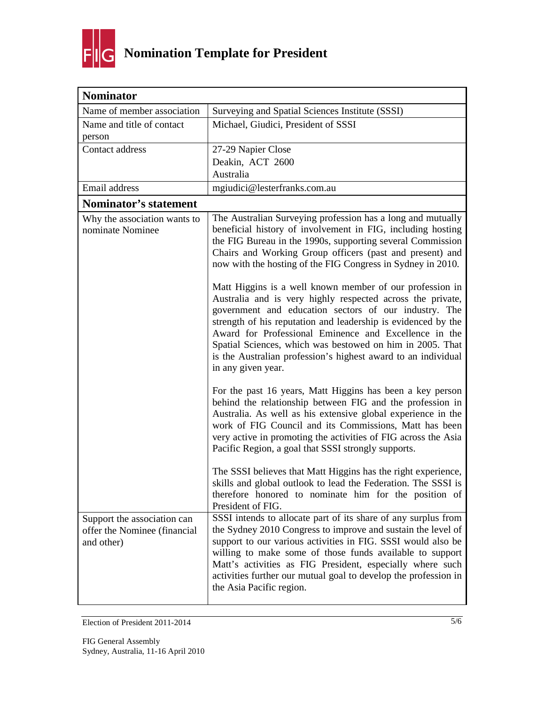

| <b>Nominator</b>                                                          |                                                                                                                                                                                                                                                                                                                                                                                                                                                                                                                                                                                           |
|---------------------------------------------------------------------------|-------------------------------------------------------------------------------------------------------------------------------------------------------------------------------------------------------------------------------------------------------------------------------------------------------------------------------------------------------------------------------------------------------------------------------------------------------------------------------------------------------------------------------------------------------------------------------------------|
| Name of member association                                                | Surveying and Spatial Sciences Institute (SSSI)                                                                                                                                                                                                                                                                                                                                                                                                                                                                                                                                           |
| Name and title of contact<br>person                                       | Michael, Giudici, President of SSSI                                                                                                                                                                                                                                                                                                                                                                                                                                                                                                                                                       |
| Contact address                                                           | 27-29 Napier Close                                                                                                                                                                                                                                                                                                                                                                                                                                                                                                                                                                        |
|                                                                           | Deakin, ACT 2600                                                                                                                                                                                                                                                                                                                                                                                                                                                                                                                                                                          |
|                                                                           | Australia                                                                                                                                                                                                                                                                                                                                                                                                                                                                                                                                                                                 |
| Email address                                                             | mgiudici@lesterfranks.com.au                                                                                                                                                                                                                                                                                                                                                                                                                                                                                                                                                              |
| Nominator's statement                                                     |                                                                                                                                                                                                                                                                                                                                                                                                                                                                                                                                                                                           |
| Why the association wants to<br>nominate Nominee                          | The Australian Surveying profession has a long and mutually<br>beneficial history of involvement in FIG, including hosting<br>the FIG Bureau in the 1990s, supporting several Commission<br>Chairs and Working Group officers (past and present) and<br>now with the hosting of the FIG Congress in Sydney in 2010.                                                                                                                                                                                                                                                                       |
|                                                                           | Matt Higgins is a well known member of our profession in<br>Australia and is very highly respected across the private,<br>government and education sectors of our industry. The<br>strength of his reputation and leadership is evidenced by the<br>Award for Professional Eminence and Excellence in the<br>Spatial Sciences, which was bestowed on him in 2005. That<br>is the Australian profession's highest award to an individual<br>in any given year.                                                                                                                             |
|                                                                           | For the past 16 years, Matt Higgins has been a key person<br>behind the relationship between FIG and the profession in<br>Australia. As well as his extensive global experience in the<br>work of FIG Council and its Commissions, Matt has been<br>very active in promoting the activities of FIG across the Asia<br>Pacific Region, a goal that SSSI strongly supports.<br>The SSSI believes that Matt Higgins has the right experience,<br>skills and global outlook to lead the Federation. The SSSI is<br>therefore honored to nominate him for the position of<br>President of FIG. |
| Support the association can<br>offer the Nominee (financial<br>and other) | SSSI intends to allocate part of its share of any surplus from<br>the Sydney 2010 Congress to improve and sustain the level of<br>support to our various activities in FIG. SSSI would also be<br>willing to make some of those funds available to support<br>Matt's activities as FIG President, especially where such<br>activities further our mutual goal to develop the profession in<br>the Asia Pacific region.                                                                                                                                                                    |

Election of President 2011-2014